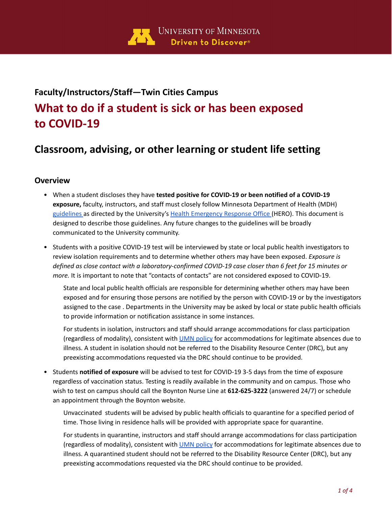

# **Faculty/Instructors/Staff—Twin Cities Campus What to do if a student is sick or has been exposed to COVID-19**

# **Classroom, advising, or other learning or student life setting**

### **Overview**

- When a student discloses they have **tested positive for COVID-19 or been notified of a COVID-19 exposure,** faculty, instructors, and staff must closely follow Minnesota Department of Health (MDH) [guidelines](https://www.health.state.mn.us/diseases/coronavirus/schools/guideihe.pdf) as directed by the University's Health [Emergency](https://healthemergencyresponse.umn.edu/) Response Office (HERO). This document is designed to describe those guidelines. Any future changes to the guidelines will be broadly communicated to the University community.
- Students with a positive COVID-19 test will be interviewed by state or local public health investigators to review isolation requirements and to determine whether others may have been exposed. *Exposure is defined as close contact with a laboratory-confirmed COVID-19 case closer than 6 feet for 15 minutes or more.* It is important to note that "contacts of contacts" are not considered exposed to COVID-19.

State and local public health officials are responsible for determining whether others may have been exposed and for ensuring those persons are notified by the person with COVID-19 or by the investigators assigned to the case . Departments in the University may be asked by local or state public health officials to provide information or notification assistance in some instances.

For students in isolation, instructors and staff should arrange accommodations for class participation (regardless of modality), consistent with **UMN [policy](https://policy.umn.edu/education/makeupwork)** for accommodations for legitimate absences due to illness. A student in isolation should not be referred to the Disability Resource Center (DRC), but any preexisting accommodations requested via the DRC should continue to be provided.

• Students **notified of exposure** will be advised to test for COVID-19 3-5 days from the time of exposure regardless of vaccination status. Testing is readily available in the community and on campus. Those who wish to test on campus should call the Boynton Nurse Line at **612-625-3222** (answered 24/7) or schedule an appointment through the Boynton website.

Unvaccinated students will be advised by public health officials to quarantine for a specified period of time. Those living in residence halls will be provided with appropriate space for quarantine.

For students in quarantine, instructors and staff should arrange accommodations for class participation (regardless of modality), consistent with UMN [policy](https://policy.umn.edu/education/makeupwork) for accommodations for legitimate absences due to illness. A quarantined student should not be referred to the Disability Resource Center (DRC), but any preexisting accommodations requested via the DRC should continue to be provided.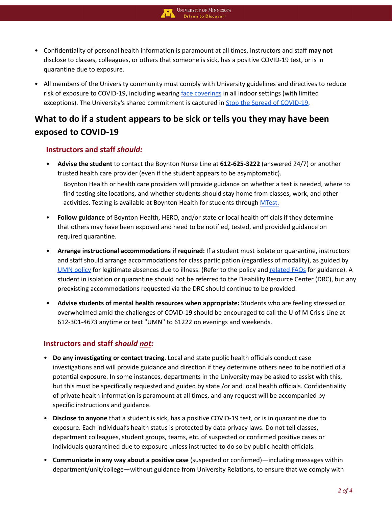- Confidentiality of personal health information is paramount at all times. Instructors and staff **may not** disclose to classes, colleagues, or others that someone is sick, has a positive COVID-19 test, or is in quarantine due to exposure.
- All members of the University community must comply with University guidelines and directives to reduce risk of exposure to COVID-19, including wearing face [coverings](https://safe-campus.umn.edu/return-campus/face-coverings) in all indoor settings (with limited exceptions). The University's shared commitment is captured in Stop the Spread of [COVID-19.](https://safe-campus.umn.edu/stop-spread-covid-19)

**UNIVERSITY OF MINNESOTA Driven to Discover** 

### **What to do if a student appears to be sick or tells you they may have been exposed to COVID-19**

#### **Instructors and staff** *should:*

• **Advise the student** to contact the Boynton Nurse Line at **612-625-3222** (answered 24/7) or another trusted health care provider (even if the student appears to be asymptomatic).

Boynton Health or health care providers will provide guidance on whether a test is needed, where to find testing site locations, and whether students should stay home from classes, work, and other activities. Testing is available at Boynton Health for students through **[MTest.](https://safe-campus.umn.edu/mtest-protocols)** 

- **Follow guidance** of Boynton Health, HERO, and/or state or local health officials if they determine that others may have been exposed and need to be notified, tested, and provided guidance on required quarantine.
- **Arrange instructional accommodations if required:** If a student must isolate or quarantine, instructors and staff should arrange accommodations for class participation (regardless of modality), as guided by UMN [policy](https://policy.umn.edu/education/makeupwork) for legitimate absences due to illness. (Refer to the policy and [related](https://policy.umn.edu/education/makeupwork-faq) FAQs for guidance). A student in isolation or quarantine should not be referred to the Disability Resource Center (DRC), but any preexisting accommodations requested via the DRC should continue to be provided.
- **Advise students of mental health resources when appropriate:** Students who are feeling stressed or overwhelmed amid the challenges of COVID-19 should be encouraged to call the U of M Crisis Line at 612-301-4673 anytime or text "UMN" to 61222 on evenings and weekends.

#### **Instructors and staff** *should not:*

- **Do any investigating or contact tracing**. Local and state public health officials conduct case investigations and will provide guidance and direction if they determine others need to be notified of a potential exposure. In some instances, departments in the University may be asked to assist with this, but this must be specifically requested and guided by state /or and local health officials. Confidentiality of private health information is paramount at all times, and any request will be accompanied by specific instructions and guidance.
- **Disclose to anyone** that a student is sick, has a positive COVID-19 test, or is in quarantine due to exposure. Each individual's health status is protected by data privacy laws. Do not tell classes, department colleagues, student groups, teams, etc. of suspected or confirmed positive cases or individuals quarantined due to exposure unless instructed to do so by public health officials.
- **Communicate in any way about a positive case** (suspected or confirmed)—including messages within department/unit/college—without guidance from University Relations, to ensure that we comply with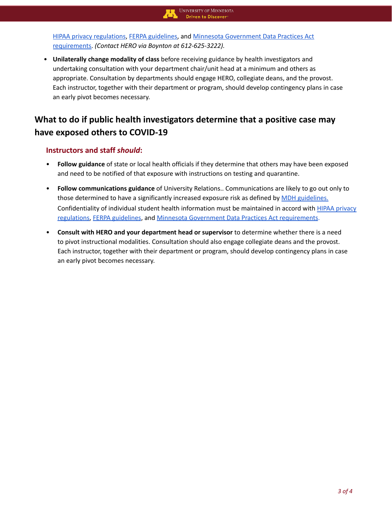

HIPAA privacy [regulations](https://www.hhs.gov/hipaa/for-individuals/employers-health-information-workplace/index.html), FERPA [guidelines,](https://studentprivacy.ed.gov/sites/default/files/resource_document/file/FERPA%20and%20Coronavirus%20Frequently%20Asked%20Questions.pdf) and Minnesota [Government](https://www.revisor.mn.gov/statutes/cite/13) Data Practices Act [requirements.](https://www.revisor.mn.gov/statutes/cite/13) *(Contact HERO via Boynton at 612-625-3222).*

• **Unilaterally change modality of class** before receiving guidance by health investigators and undertaking consultation with your department chair/unit head at a minimum and others as appropriate. Consultation by departments should engage HERO, collegiate deans, and the provost. Each instructor, together with their department or program, should develop contingency plans in case an early pivot becomes necessary.

## **What to do if public health investigators determine that a positive case may have exposed others to COVID-19**

#### **Instructors and staff** *should***:**

- **Follow guidance** of state or local health officials if they determine that others may have been exposed and need to be notified of that exposure with instructions on testing and quarantine.
- **Follow communications guidance** of University Relations.. Communications are likely to go out only to those determined to have a significantly increased exposure risk as defined by MDH [guidelines.](https://www.health.state.mn.us/diseases/coronavirus/tracing.html) Confidentiality of individual student health information must be maintained in accord with HIPAA [privacy](https://www.hhs.gov/hipaa/for-individuals/employers-health-information-workplace/index.html) [regulations,](https://www.hhs.gov/hipaa/for-individuals/employers-health-information-workplace/index.html) FERPA [guidelines](https://studentprivacy.ed.gov/sites/default/files/resource_document/file/FERPA%20and%20Coronavirus%20Frequently%20Asked%20Questions.pdf), and Minnesota Government Data Practices Act [requirements](https://www.revisor.mn.gov/statutes/cite/13).
- **Consult with HERO and your department head or supervisor** to determine whether there is a need to pivot instructional modalities. Consultation should also engage collegiate deans and the provost. Each instructor, together with their department or program, should develop contingency plans in case an early pivot becomes necessary.